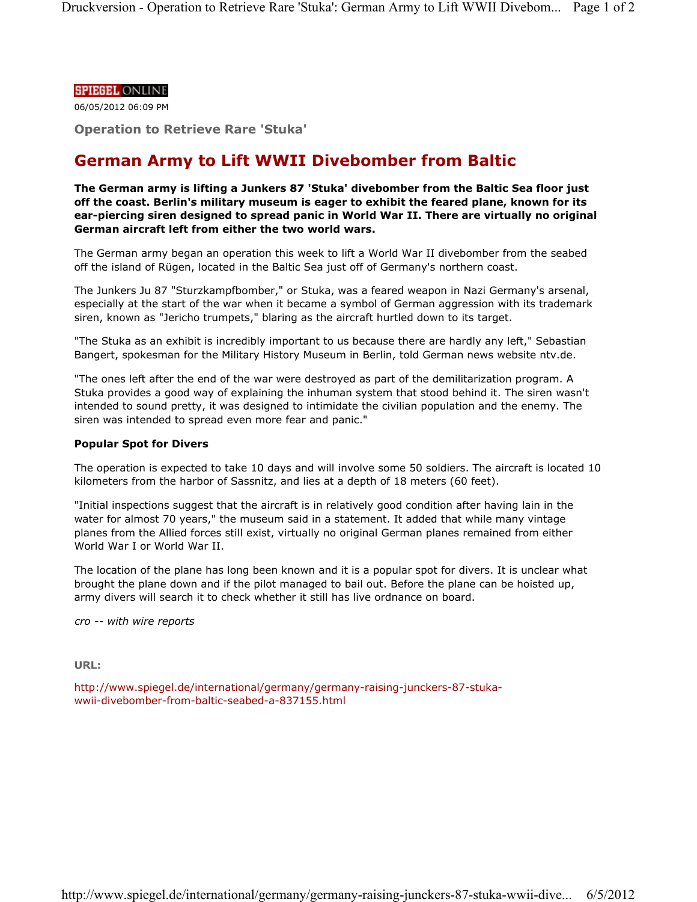## **SPIEGEL ONLINE**

06/05/2012 06:09 PM

**Operation to Retrieve Rare 'Stuka'** 

## **German Army to Lift WWII Divebomber from Baltic**

**The German army is lifting a Junkers 87 'Stuka' divebomber from the Baltic Sea floor just off the coast. Berlin's military museum is eager to exhibit the feared plane, known for its ear-piercing siren designed to spread panic in World War II. There are virtually no original German aircraft left from either the two world wars.** 

The German army began an operation this week to lift a World War II divebomber from the seabed off the island of Rügen, located in the Baltic Sea just off of Germany's northern coast.

The Junkers Ju 87 "Sturzkampfbomber," or Stuka, was a feared weapon in Nazi Germany's arsenal, especially at the start of the war when it became a symbol of German aggression with its trademark siren, known as "Jericho trumpets," blaring as the aircraft hurtled down to its target.

"The Stuka as an exhibit is incredibly important to us because there are hardly any left," Sebastian Bangert, spokesman for the Military History Museum in Berlin, told German news website ntv.de.

"The ones left after the end of the war were destroyed as part of the demilitarization program. A Stuka provides a good way of explaining the inhuman system that stood behind it. The siren wasn't intended to sound pretty, it was designed to intimidate the civilian population and the enemy. The siren was intended to spread even more fear and panic."

## **Popular Spot for Divers**

The operation is expected to take 10 days and will involve some 50 soldiers. The aircraft is located 10 kilometers from the harbor of Sassnitz, and lies at a depth of 18 meters (60 feet).

"Initial inspections suggest that the aircraft is in relatively good condition after having lain in the water for almost 70 years," the museum said in a statement. It added that while many vintage planes from the Allied forces still exist, virtually no original German planes remained from either World War I or World War II.

The location of the plane has long been known and it is a popular spot for divers. It is unclear what brought the plane down and if the pilot managed to bail out. Before the plane can be hoisted up, army divers will search it to check whether it still has live ordnance on board.

*cro -- with wire reports*

**URL:**

http://www.spiegel.de/international/germany/germany-raising-junckers-87-stukawwii-divebomber-from-baltic-seabed-a-837155.html